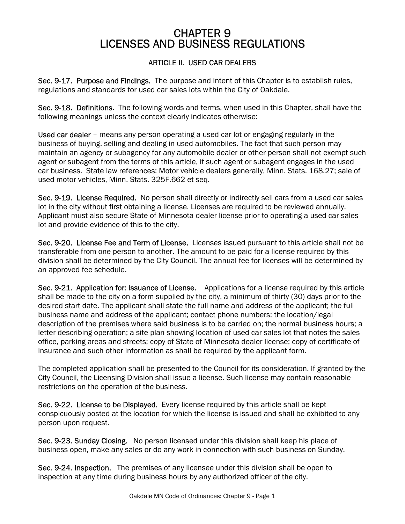## CHAPTER 9 LICENSES AND BUSINESS REGULATIONS

## ARTICLE II. USED CAR DEALERS

Sec. 9-17. Purpose and Findings. The purpose and intent of this Chapter is to establish rules, regulations and standards for used car sales lots within the City of Oakdale.

Sec. 9-18. Definitions. The following words and terms, when used in this Chapter, shall have the following meanings unless the context clearly indicates otherwise:

Used car dealer – means any person operating a used car lot or engaging regularly in the business of buying, selling and dealing in used automobiles. The fact that such person may maintain an agency or subagency for any automobile dealer or other person shall not exempt such agent or subagent from the terms of this article, if such agent or subagent engages in the used car business. State law references: Motor vehicle dealers generally, Minn. Stats. 168.27; sale of used motor vehicles, Minn. Stats. 325F.662 et seq.

Sec. 9-19. License Required. No person shall directly or indirectly sell cars from a used car sales lot in the city without first obtaining a license. Licenses are required to be reviewed annually. Applicant must also secure State of Minnesota dealer license prior to operating a used car sales lot and provide evidence of this to the city.

Sec. 9-20. License Fee and Term of License. Licenses issued pursuant to this article shall not be transferable from one person to another. The amount to be paid for a license required by this division shall be determined by the City Council. The annual fee for licenses will be determined by an approved fee schedule.

Sec. 9-21. Application for: Issuance of License. Applications for a license required by this article shall be made to the city on a form supplied by the city, a minimum of thirty (30) days prior to the desired start date. The applicant shall state the full name and address of the applicant; the full business name and address of the applicant; contact phone numbers; the location/legal description of the premises where said business is to be carried on; the normal business hours; a letter describing operation; a site plan showing location of used car sales lot that notes the sales office, parking areas and streets; copy of State of Minnesota dealer license; copy of certificate of insurance and such other information as shall be required by the applicant form.

The completed application shall be presented to the Council for its consideration. If granted by the City Council, the Licensing Division shall issue a license. Such license may contain reasonable restrictions on the operation of the business.

Sec. 9-22. License to be Displayed. Every license required by this article shall be kept conspicuously posted at the location for which the license is issued and shall be exhibited to any person upon request.

Sec. 9-23. Sunday Closing. No person licensed under this division shall keep his place of business open, make any sales or do any work in connection with such business on Sunday.

Sec. 9-24. Inspection. The premises of any licensee under this division shall be open to inspection at any time during business hours by any authorized officer of the city.